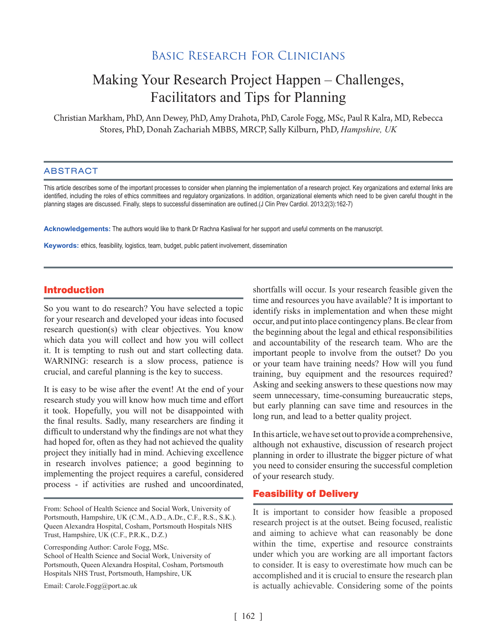## Basic Research For Clinicians

# Making Your Research Project Happen – Challenges, Facilitators and Tips for Planning

Christian Markham, PhD, Ann Dewey, PhD, Amy Drahota, PhD, Carole Fogg, MSc, Paul R Kalra, MD, Rebecca Stores, PhD, Donah Zachariah MBBS, MRCP, Sally Kilburn, PhD, *Hampshire, UK*

#### ABSTRACT

This article describes some of the important processes to consider when planning the implementation of a research project. Key organizations and external links are identified, including the roles of ethics committees and regulatory organizations. In addition, organizational elements which need to be given careful thought in the planning stages are discussed. Finally, steps to successful dissemination are outlined.(J Clin Prev Cardiol. 2013;2(3):162-7)

**Acknowledgements:** The authors would like to thank Dr Rachna Kasliwal for her support and useful comments on the manuscript.

**Keywords:** ethics, feasibility, logistics, team, budget, public patient involvement, dissemination

#### Introduction

So you want to do research? You have selected a topic for your research and developed your ideas into focused research question(s) with clear objectives. You know which data you will collect and how you will collect it. It is tempting to rush out and start collecting data. WARNING: research is a slow process, patience is crucial, and careful planning is the key to success.

It is easy to be wise after the event! At the end of your research study you will know how much time and effort it took. Hopefully, you will not be disappointed with the final results. Sadly, many researchers are finding it difficult to understand why the findings are not what they had hoped for, often as they had not achieved the quality project they initially had in mind. Achieving excellence in research involves patience; a good beginning to implementing the project requires a careful, considered process - if activities are rushed and uncoordinated,

From: School of Health Science and Social Work, University of Portsmouth, Hampshire, UK (C.M., A.D., A.Dr., C.F., R.S., S.K.). Queen Alexandra Hospital, Cosham, Portsmouth Hospitals NHS Trust, Hampshire, UK (C.F., P.R.K., D.Z.)

Corresponding Author: Carole Fogg, MSc. School of Health Science and Social Work, University of Portsmouth, Queen Alexandra Hospital, Cosham, Portsmouth Hospitals NHS Trust, Portsmouth, Hampshire, UK

Email: Carole.Fogg@port.ac.uk

shortfalls will occur. Is your research feasible given the time and resources you have available? It is important to identify risks in implementation and when these might occur, and put into place contingency plans. Be clear from the beginning about the legal and ethical responsibilities and accountability of the research team. Who are the important people to involve from the outset? Do you or your team have training needs? How will you fund training, buy equipment and the resources required? Asking and seeking answers to these questions now may seem unnecessary, time-consuming bureaucratic steps, but early planning can save time and resources in the long run, and lead to a better quality project.

In this article, we have set out to provide a comprehensive, although not exhaustive, discussion of research project planning in order to illustrate the bigger picture of what you need to consider ensuring the successful completion of your research study.

#### Feasibility of Delivery

It is important to consider how feasible a proposed research project is at the outset. Being focused, realistic and aiming to achieve what can reasonably be done within the time, expertise and resource constraints under which you are working are all important factors to consider. It is easy to overestimate how much can be accomplished and it is crucial to ensure the research plan is actually achievable. Considering some of the points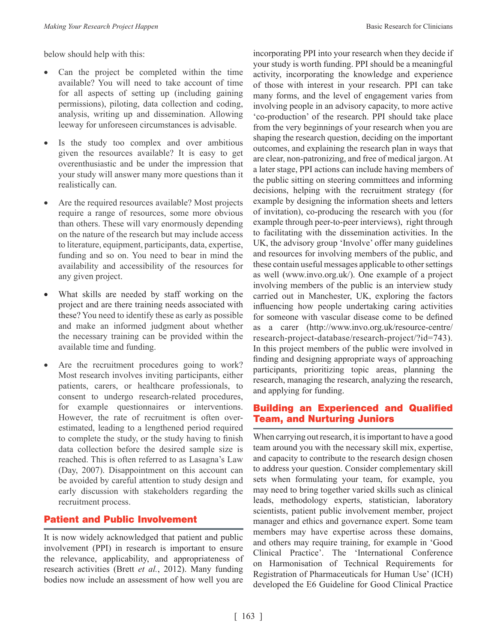below should help with this:

- Can the project be completed within the time available? You will need to take account of time for all aspects of setting up (including gaining permissions), piloting, data collection and coding, analysis, writing up and dissemination. Allowing leeway for unforeseen circumstances is advisable.
- Is the study too complex and over ambitious given the resources available? It is easy to get overenthusiastic and be under the impression that your study will answer many more questions than it realistically can.
- Are the required resources available? Most projects require a range of resources, some more obvious than others. These will vary enormously depending on the nature of the research but may include access to literature, equipment, participants, data, expertise, funding and so on. You need to bear in mind the availability and accessibility of the resources for any given project.
- What skills are needed by staff working on the project and are there training needs associated with these? You need to identify these as early as possible and make an informed judgment about whether the necessary training can be provided within the available time and funding.
- Are the recruitment procedures going to work? Most research involves inviting participants, either patients, carers, or healthcare professionals, to consent to undergo research-related procedures, for example questionnaires or interventions. However, the rate of recruitment is often overestimated, leading to a lengthened period required to complete the study, or the study having to finish data collection before the desired sample size is reached. This is often referred to as Lasagna's Law (Day, 2007). Disappointment on this account can be avoided by careful attention to study design and early discussion with stakeholders regarding the recruitment process.

## Patient and Public Involvement

It is now widely acknowledged that patient and public involvement (PPI) in research is important to ensure the relevance, applicability, and appropriateness of research activities (Brett *et al.*, 2012). Many funding bodies now include an assessment of how well you are incorporating PPI into your research when they decide if your study is worth funding. PPI should be a meaningful activity, incorporating the knowledge and experience of those with interest in your research. PPI can take many forms, and the level of engagement varies from involving people in an advisory capacity, to more active 'co-production' of the research. PPI should take place from the very beginnings of your research when you are shaping the research question, deciding on the important outcomes, and explaining the research plan in ways that are clear, non-patronizing, and free of medical jargon. At a later stage, PPI actions can include having members of the public sitting on steering committees and informing decisions, helping with the recruitment strategy (for example by designing the information sheets and letters of invitation), co-producing the research with you (for example through peer-to-peer interviews), right through to facilitating with the dissemination activities. In the UK, the advisory group 'Involve' offer many guidelines and resources for involving members of the public, and these contain useful messages applicable to other settings as well (www.invo.org.uk/). One example of a project involving members of the public is an interview study carried out in Manchester, UK, exploring the factors influencing how people undertaking caring activities for someone with vascular disease come to be defined as a carer (http://www.invo.org.uk/resource-centre/ research-project-database/research-project/?id=743). In this project members of the public were involved in finding and designing appropriate ways of approaching participants, prioritizing topic areas, planning the research, managing the research, analyzing the research, and applying for funding.

### Building an Experienced and Qualified Team, and Nurturing Juniors

When carrying out research, it is important to have a good team around you with the necessary skill mix, expertise, and capacity to contribute to the research design chosen to address your question. Consider complementary skill sets when formulating your team, for example, you may need to bring together varied skills such as clinical leads, methodology experts, statistician, laboratory scientists, patient public involvement member, project manager and ethics and governance expert. Some team members may have expertise across these domains, and others may require training, for example in 'Good Clinical Practice'. The 'International Conference on Harmonisation of Technical Requirements for Registration of Pharmaceuticals for Human Use' (ICH) developed the E6 Guideline for Good Clinical Practice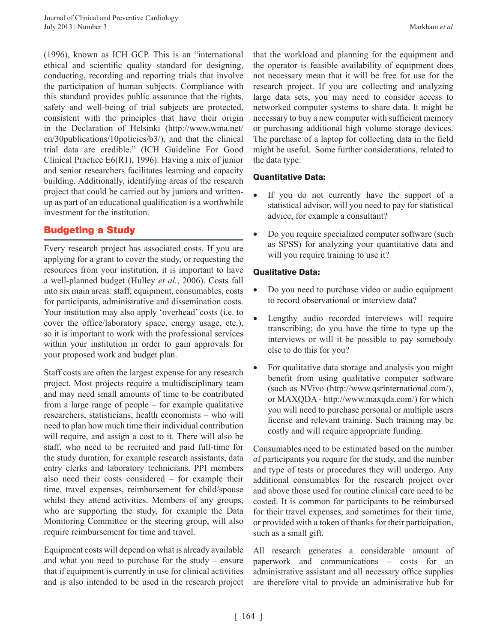(1996), known as ICH GCP. This is an "international ethical and scientific quality standard for designing, conducting, recording and reporting trials that involve the participation of human subjects. Compliance with this standard provides public assurance that the rights, safety and well-being of trial subjects are protected, consistent with the principles that have their origin in the Declaration of Helsinki (http://www.wma.net/ en/30publications/10policies/b3/), and that the clinical trial data are credible." (ICH Guideline For Good Clinical Practice E6(R1), 1996). Having a mix of junior and senior researchers facilitates learning and capacity building. Additionally, identifying areas of the research project that could be carried out by juniors and writtenup as part of an educational qualification is a worthwhile investment for the institution.

## Budgeting a Study

Every research project has associated costs. If you are applying for a grant to cover the study, or requesting the resources from your institution, it is important to have a well-planned budget (Hulley *et al.*, 2006). Costs fall into six main areas: staff, equipment, consumables, costs for participants, administrative and dissemination costs. Your institution may also apply 'overhead' costs (i.e. to cover the office/laboratory space, energy usage, etc.), so it is important to work with the professional services within your institution in order to gain approvals for your proposed work and budget plan.

Staff costs are often the largest expense for any research project. Most projects require a multidisciplinary team and may need small amounts of time to be contributed from a large range of people – for example qualitative researchers, statisticians, health economists – who will need to plan how much time their individual contribution will require, and assign a cost to it. There will also be staff, who need to be recruited and paid full-time for the study duration, for example research assistants, data entry clerks and laboratory technicians. PPI members also need their costs considered – for example their time, travel expenses, reimbursement for child/spouse whilst they attend activities. Members of any groups, who are supporting the study, for example the Data Monitoring Committee or the steering group, will also require reimbursement for time and travel.

Equipment costs will depend on what is already available and what you need to purchase for the study – ensure that if equipment is currently in use for clinical activities and is also intended to be used in the research project

that the workload and planning for the equipment and the operator is feasible availability of equipment does not necessary mean that it will be free for use for the research project. If you are collecting and analyzing large data sets, you may need to consider access to networked computer systems to share data. It might be necessary to buy a new computer with sufficient memory or purchasing additional high volume storage devices. The purchase of a laptop for collecting data in the field might be useful. Some further considerations, related to the data type:

#### Quantitative Data:

- If you do not currently have the support of a statistical advisor, will you need to pay for statistical advice, for example a consultant?
- Do you require specialized computer software (such as SPSS) for analyzing your quantitative data and will you require training to use it?

#### Qualitative Data:

- Do you need to purchase video or audio equipment to record observational or interview data?
- Lengthy audio recorded interviews will require transcribing; do you have the time to type up the interviews or will it be possible to pay somebody else to do this for you?
- For qualitative data storage and analysis you might benefit from using qualitative computer software (such as NVivo (http://www.qsrinternational.com/), or MAXQDA - http://www.maxqda.com/) for which you will need to purchase personal or multiple users license and relevant training. Such training may be costly and will require appropriate funding.

Consumables need to be estimated based on the number of participants you require for the study, and the number and type of tests or procedures they will undergo. Any additional consumables for the research project over and above those used for routine clinical care need to be costed. It is common for participants to be reimbursed for their travel expenses, and sometimes for their time, or provided with a token of thanks for their participation, such as a small gift.

All research generates a considerable amount of paperwork and communications – costs for an administrative assistant and all necessary office supplies are therefore vital to provide an administrative hub for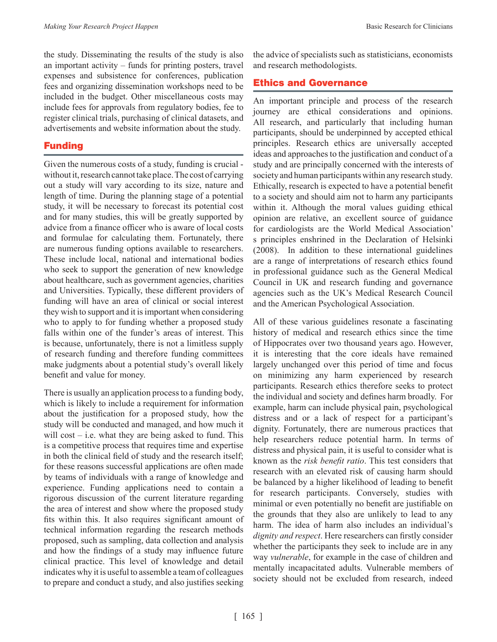the study. Disseminating the results of the study is also an important activity – funds for printing posters, travel expenses and subsistence for conferences, publication fees and organizing dissemination workshops need to be included in the budget. Other miscellaneous costs may include fees for approvals from regulatory bodies, fee to register clinical trials, purchasing of clinical datasets, and advertisements and website information about the study.

## Funding

Given the numerous costs of a study, funding is crucial without it, research cannot take place. The cost of carrying out a study will vary according to its size, nature and length of time. During the planning stage of a potential study, it will be necessary to forecast its potential cost and for many studies, this will be greatly supported by advice from a finance officer who is aware of local costs and formulae for calculating them. Fortunately, there are numerous funding options available to researchers. These include local, national and international bodies who seek to support the generation of new knowledge about healthcare, such as government agencies, charities and Universities. Typically, these different providers of funding will have an area of clinical or social interest they wish to support and it is important when considering who to apply to for funding whether a proposed study falls within one of the funder's areas of interest. This is because, unfortunately, there is not a limitless supply of research funding and therefore funding committees make judgments about a potential study's overall likely benefit and value for money.

There is usually an application process to a funding body, which is likely to include a requirement for information about the justification for a proposed study, how the study will be conducted and managed, and how much it will cost  $-$  i.e. what they are being asked to fund. This is a competitive process that requires time and expertise in both the clinical field of study and the research itself; for these reasons successful applications are often made by teams of individuals with a range of knowledge and experience. Funding applications need to contain a rigorous discussion of the current literature regarding the area of interest and show where the proposed study fits within this. It also requires significant amount of technical information regarding the research methods proposed, such as sampling, data collection and analysis and how the findings of a study may influence future clinical practice. This level of knowledge and detail indicates why it is useful to assemble a team of colleagues to prepare and conduct a study, and also justifies seeking

the advice of specialists such as statisticians, economists and research methodologists.

## Ethics and Governance

An important principle and process of the research journey are ethical considerations and opinions. All research, and particularly that including human participants, should be underpinned by accepted ethical principles. Research ethics are universally accepted ideas and approaches to the justification and conduct of a study and are principally concerned with the interests of society and human participants within any research study. Ethically, research is expected to have a potential benefit to a society and should aim not to harm any participants within it. Although the moral values guiding ethical opinion are relative, an excellent source of guidance for cardiologists are the World Medical Association' s principles enshrined in the Declaration of Helsinki (2008). In addition to these international guidelines are a range of interpretations of research ethics found in professional guidance such as the General Medical Council in UK and research funding and governance agencies such as the UK's Medical Research Council and the American Psychological Association.

All of these various guidelines resonate a fascinating history of medical and research ethics since the time of Hippocrates over two thousand years ago. However, it is interesting that the core ideals have remained largely unchanged over this period of time and focus on minimizing any harm experienced by research participants. Research ethics therefore seeks to protect the individual and society and defines harm broadly. For example, harm can include physical pain, psychological distress and or a lack of respect for a participant's dignity. Fortunately, there are numerous practices that help researchers reduce potential harm. In terms of distress and physical pain, it is useful to consider what is known as the *risk benefit ratio*. This test considers that research with an elevated risk of causing harm should be balanced by a higher likelihood of leading to benefit for research participants. Conversely, studies with minimal or even potentially no benefit are justifiable on the grounds that they also are unlikely to lead to any harm. The idea of harm also includes an individual's *dignity and respect*. Here researchers can firstly consider whether the participants they seek to include are in any way *vulnerable*, for example in the case of children and mentally incapacitated adults. Vulnerable members of society should not be excluded from research, indeed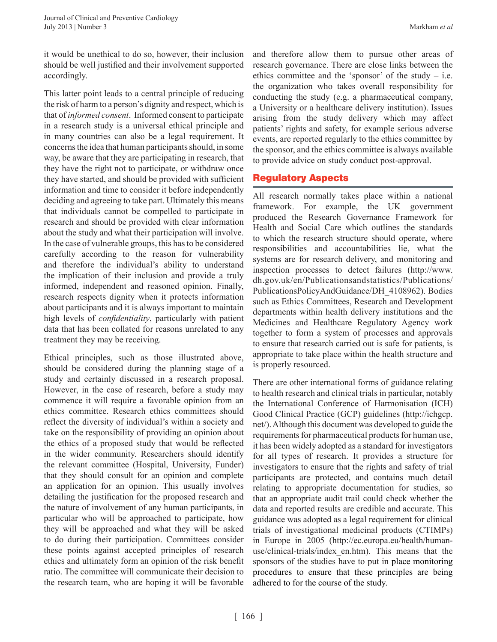it would be unethical to do so, however, their inclusion should be well justified and their involvement supported accordingly.

This latter point leads to a central principle of reducing the risk of harm to a person's dignity and respect, which is that of *informed consent*. Informed consent to participate in a research study is a universal ethical principle and in many countries can also be a legal requirement. It concerns the idea that human participants should, in some way, be aware that they are participating in research, that they have the right not to participate, or withdraw once they have started, and should be provided with sufficient information and time to consider it before independently deciding and agreeing to take part. Ultimately this means that individuals cannot be compelled to participate in research and should be provided with clear information about the study and what their participation will involve. In the case of vulnerable groups, this has to be considered carefully according to the reason for vulnerability and therefore the individual's ability to understand the implication of their inclusion and provide a truly informed, independent and reasoned opinion. Finally, research respects dignity when it protects information about participants and it is always important to maintain high levels of *confidentiality*, particularly with patient data that has been collated for reasons unrelated to any treatment they may be receiving.

Ethical principles, such as those illustrated above, should be considered during the planning stage of a study and certainly discussed in a research proposal. However, in the case of research, before a study may commence it will require a favorable opinion from an ethics committee. Research ethics committees should reflect the diversity of individual's within a society and take on the responsibility of providing an opinion about the ethics of a proposed study that would be reflected in the wider community. Researchers should identify the relevant committee (Hospital, University, Funder) that they should consult for an opinion and complete an application for an opinion. This usually involves detailing the justification for the proposed research and the nature of involvement of any human participants, in particular who will be approached to participate, how they will be approached and what they will be asked to do during their participation. Committees consider these points against accepted principles of research ethics and ultimately form an opinion of the risk benefit ratio. The committee will communicate their decision to the research team, who are hoping it will be favorable

and therefore allow them to pursue other areas of research governance. There are close links between the ethics committee and the 'sponsor' of the study  $-$  i.e. the organization who takes overall responsibility for conducting the study (e.g. a pharmaceutical company, a University or a healthcare delivery institution). Issues arising from the study delivery which may affect patients' rights and safety, for example serious adverse events, are reported regularly to the ethics committee by the sponsor, and the ethics committee is always available to provide advice on study conduct post-approval.

## Regulatory Aspects

All research normally takes place within a national framework. For example, the UK government produced the Research Governance Framework for Health and Social Care which outlines the standards to which the research structure should operate, where responsibilities and accountabilities lie, what the systems are for research delivery, and monitoring and inspection processes to detect failures (http://www. dh.gov.uk/en/Publicationsandstatistics/Publications/ PublicationsPolicyAndGuidance/DH\_4108962). Bodies such as Ethics Committees, Research and Development departments within health delivery institutions and the Medicines and Healthcare Regulatory Agency work together to form a system of processes and approvals to ensure that research carried out is safe for patients, is appropriate to take place within the health structure and is properly resourced.

There are other international forms of guidance relating to health research and clinical trials in particular, notably the International Conference of Harmonisation (ICH) Good Clinical Practice (GCP) guidelines (http://ichgcp. net/). Although this document was developed to guide the requirements for pharmaceutical products for human use, it has been widely adopted as a standard for investigators for all types of research. It provides a structure for investigators to ensure that the rights and safety of trial participants are protected, and contains much detail relating to appropriate documentation for studies, so that an appropriate audit trail could check whether the data and reported results are credible and accurate. This guidance was adopted as a legal requirement for clinical trials of investigational medicinal products (CTIMPs) in Europe in 2005 (http://ec.europa.eu/health/humanuse/clinical-trials/index\_en.htm). This means that the sponsors of the studies have to put in place monitoring procedures to ensure that these principles are being adhered to for the course of the study.